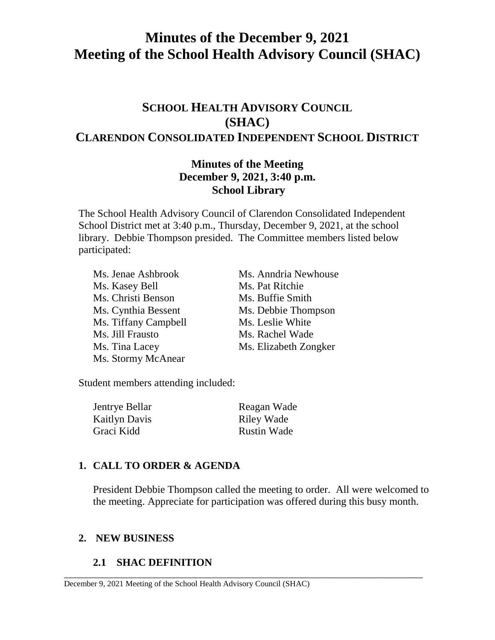# **Minutes of the December 9, 2021 Meeting of the School Health Advisory Council (SHAC)**

## **SCHOOL HEALTH ADVISORY COUNCIL (SHAC) CLARENDON CONSOLIDATED INDEPENDENT SCHOOL DISTRICT**

### **Minutes of the Meeting December 9, 2021, 3:40 p.m. School Library**

The School Health Advisory Council of Clarendon Consolidated Independent School District met at 3:40 p.m., Thursday, December 9, 2021, at the school library. Debbie Thompson presided. The Committee members listed below participated:

Ms. Jenae Ashbrook Ms. Anndria Newhouse Ms. Kasey Bell Ms. Pat Ritchie Ms. Christi Benson Ms. Buffie Smith Ms. Cynthia Bessent Ms. Debbie Thompson Ms. Tiffany Campbell Ms. Leslie White Ms. Jill Frausto Ms. Rachel Wade Ms. Tina Lacey Ms. Elizabeth Zongker Ms. Stormy McAnear

Student members attending included:

| Jentrye Bellar       | Reagan Wade        |
|----------------------|--------------------|
| <b>Kaitlyn Davis</b> | Riley Wade         |
| Graci Kidd           | <b>Rustin Wade</b> |

### **1. CALL TO ORDER & AGENDA**

President Debbie Thompson called the meeting to order. All were welcomed to the meeting. Appreciate for participation was offered during this busy month.

\_\_\_\_\_\_\_\_\_\_\_\_\_\_\_\_\_\_\_\_\_\_\_\_\_\_\_\_\_\_\_\_\_\_\_\_\_\_\_\_\_\_\_\_\_\_\_\_\_\_\_\_\_\_\_\_\_\_\_\_\_\_\_\_\_\_\_\_\_\_\_\_\_\_

#### **2. NEW BUSINESS**

### **2.1 SHAC DEFINITION**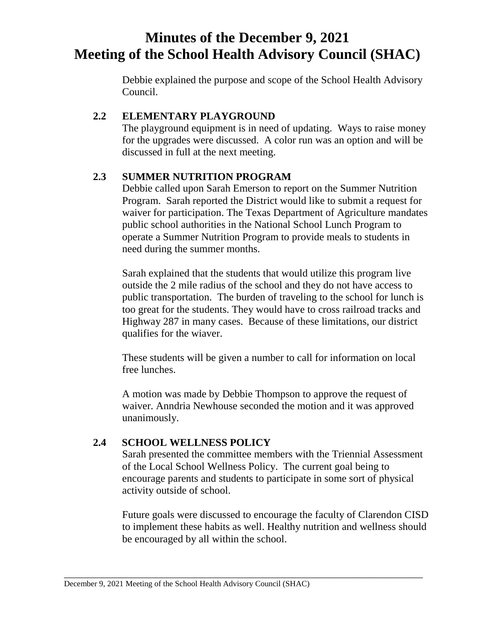# **Minutes of the December 9, 2021 Meeting of the School Health Advisory Council (SHAC)**

Debbie explained the purpose and scope of the School Health Advisory Council.

### **2.2 ELEMENTARY PLAYGROUND**

The playground equipment is in need of updating. Ways to raise money for the upgrades were discussed. A color run was an option and will be discussed in full at the next meeting.

#### **2.3 SUMMER NUTRITION PROGRAM**

Debbie called upon Sarah Emerson to report on the Summer Nutrition Program. Sarah reported the District would like to submit a request for waiver for participation. The Texas Department of Agriculture mandates public school authorities in the National School Lunch Program to operate a Summer Nutrition Program to provide meals to students in need during the summer months.

Sarah explained that the students that would utilize this program live outside the 2 mile radius of the school and they do not have access to public transportation. The burden of traveling to the school for lunch is too great for the students. They would have to cross railroad tracks and Highway 287 in many cases. Because of these limitations, our district qualifies for the wiaver.

These students will be given a number to call for information on local free lunches.

A motion was made by Debbie Thompson to approve the request of waiver. Anndria Newhouse seconded the motion and it was approved unanimously.

### **2.4 SCHOOL WELLNESS POLICY**

Sarah presented the committee members with the Triennial Assessment of the Local School Wellness Policy. The current goal being to encourage parents and students to participate in some sort of physical activity outside of school.

Future goals were discussed to encourage the faculty of Clarendon CISD to implement these habits as well. Healthy nutrition and wellness should be encouraged by all within the school.

\_\_\_\_\_\_\_\_\_\_\_\_\_\_\_\_\_\_\_\_\_\_\_\_\_\_\_\_\_\_\_\_\_\_\_\_\_\_\_\_\_\_\_\_\_\_\_\_\_\_\_\_\_\_\_\_\_\_\_\_\_\_\_\_\_\_\_\_\_\_\_\_\_\_